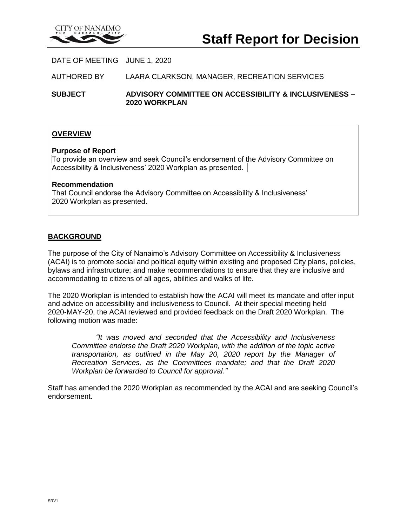

DATE OF MEETING JUNE 1, 2020

AUTHORED BY LAARA CLARKSON, MANAGER, RECREATION SERVICES

**SUBJECT ADVISORY COMMITTEE ON ACCESSIBILITY & INCLUSIVENESS – 2020 WORKPLAN**

# **OVERVIEW**

#### **Purpose of Report**

To provide an overview and seek Council's endorsement of the Advisory Committee on Accessibility & Inclusiveness' 2020 Workplan as presented.

#### **Recommendation**

That Council endorse the Advisory Committee on Accessibility & Inclusiveness' 2020 Workplan as presented.

## **BACKGROUND**

The purpose of the City of Nanaimo's Advisory Committee on Accessibility & Inclusiveness (ACAI) is to promote social and political equity within existing and proposed City plans, policies, bylaws and infrastructure; and make recommendations to ensure that they are inclusive and accommodating to citizens of all ages, abilities and walks of life.

The 2020 Workplan is intended to establish how the ACAI will meet its mandate and offer input and advice on accessibility and inclusiveness to Council. At their special meeting held 2020-MAY-20, the ACAI reviewed and provided feedback on the Draft 2020 Workplan. The following motion was made:

*"It was moved and seconded that the Accessibility and Inclusiveness Committee endorse the Draft 2020 Workplan, with the addition of the topic active transportation, as outlined in the May 20, 2020 report by the Manager of Recreation Services, as the Committees mandate; and that the Draft 2020 Workplan be forwarded to Council for approval."*

Staff has amended the 2020 Workplan as recommended by the ACAI and are seeking Council's endorsement.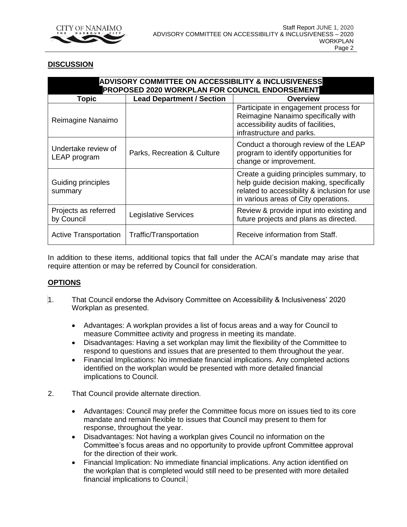

# **DISCUSSION**

| <b>ADVISORY COMMITTEE ON ACCESSIBILITY &amp; INCLUSIVENESS</b><br>PROPOSED 2020 WORKPLAN FOR COUNCIL ENDORSEMENT |                                  |                                                                                                                                                                             |
|------------------------------------------------------------------------------------------------------------------|----------------------------------|-----------------------------------------------------------------------------------------------------------------------------------------------------------------------------|
| Topic                                                                                                            | <b>Lead Department / Section</b> | Overview                                                                                                                                                                    |
| Reimagine Nanaimo                                                                                                |                                  | Participate in engagement process for<br>Reimagine Nanaimo specifically with<br>accessibility audits of facilities,<br>infrastructure and parks.                            |
| Undertake review of<br>LEAP program                                                                              | Parks, Recreation & Culture      | Conduct a thorough review of the LEAP<br>program to identify opportunities for<br>change or improvement.                                                                    |
| Guiding principles<br>summary                                                                                    |                                  | Create a guiding principles summary, to<br>help guide decision making, specifically<br>related to accessibility & inclusion for use<br>in various areas of City operations. |
| Projects as referred<br>by Council                                                                               | <b>Legislative Services</b>      | Review & provide input into existing and<br>future projects and plans as directed.                                                                                          |
| <b>Active Transportation</b>                                                                                     | Traffic/Transportation           | Receive information from Staff.                                                                                                                                             |

In addition to these items, additional topics that fall under the ACAI's mandate may arise that require attention or may be referred by Council for consideration.

# **OPTIONS**

- 1. That Council endorse the Advisory Committee on Accessibility & Inclusiveness' 2020 Workplan as presented.
	- Advantages: A workplan provides a list of focus areas and a way for Council to measure Committee activity and progress in meeting its mandate.
	- Disadvantages: Having a set workplan may limit the flexibility of the Committee to respond to questions and issues that are presented to them throughout the year.
	- Financial Implications: No immediate financial implications. Any completed actions identified on the workplan would be presented with more detailed financial implications to Council.
- 2. That Council provide alternate direction.
	- Advantages: Council may prefer the Committee focus more on issues tied to its core mandate and remain flexible to issues that Council may present to them for response, throughout the year.
	- Disadvantages: Not having a workplan gives Council no information on the Committee's focus areas and no opportunity to provide upfront Committee approval for the direction of their work.
	- Financial Implication: No immediate financial implications. Any action identified on the workplan that is completed would still need to be presented with more detailed financial implications to Council.